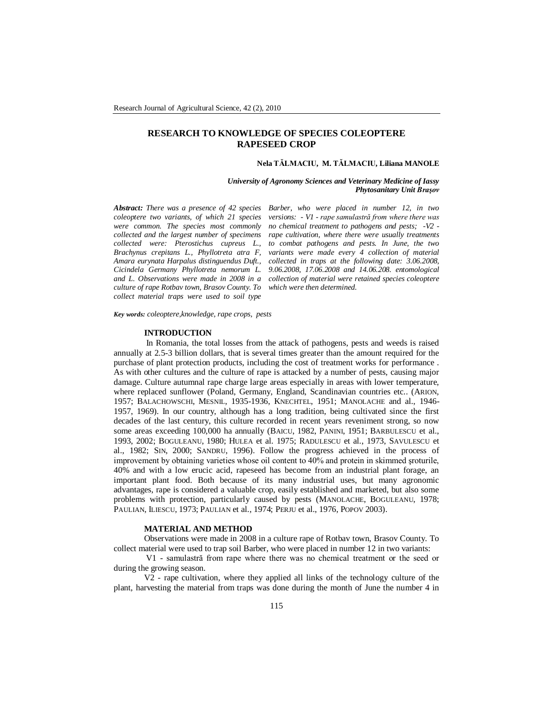# **RESEARCH TO KNOWLEDGE OF SPECIES COLEOPTERE RAPESEED CROP**

#### **Nela TĂLMACIU, M. TĂLMACIU, Liliana MANOLE**

*University of Agronomy Sciences and Veterinary Medicine of Iassy Phytosanitary Unit Braşov*

*coleoptere two variants, of which 21 species were common. The species most commonly collected and the largest number of specimens collected were: Pterostichus cupreus L., Brachynus crepitans L., Phyllotreta atra F, Amara eurynata Harpalus distinguendus Duft., Cicindela Germany Phyllotreta nemorum L. culture of rape Rotbav town, Brasov County. To which were then determined. collect material traps were used to soil type* 

*Abstract: There was a presence of 42 species Barber, who were placed in number 12, in two and L. Observations were made in 2008 in a collection of material were retained species coleoptere versions: - V1 - rape samulastră from where there was no chemical treatment to pathogens and pests; -V2 rape cultivation, where there were usually treatments to combat pathogens and pests. In June, the two variants were made every 4 collection of material collected in traps at the following date: 3.06.2008, 9.06.2008, 17.06.2008 and 14.06.208. entomological* 

*Key words: coleoptere,knowledge, rape crops, pests*

### **INTRODUCTION**

 In Romania, the total losses from the attack of pathogens, pests and weeds is raised annually at 2.5-3 billion dollars, that is several times greater than the amount required for the purchase of plant protection products, including the cost of treatment works for performance . As with other cultures and the culture of rape is attacked by a number of pests, causing major damage. Culture autumnal rape charge large areas especially in areas with lower temperature, where replaced sunflower (Poland, Germany, England, Scandinavian countries etc.. (ARION, 1957; BALACHOWSCHI, MESNIL, 1935-1936, KNECHTEL, 1951; MANOLACHE and al., 1946- 1957, 1969). In our country, although has a long tradition, being cultivated since the first decades of the last century, this culture recorded in recent years reveniment strong, so now some areas exceeding 100,000 ha annually (BAICU, 1982, PANINI, 1951; BARBULESCU et al., 1993, 2002; BOGULEANU, 1980; HULEA et al. 1975; RADULESCU et al., 1973, SAVULESCU et al., 1982; SIN, 2000; SANDRU, 1996). Follow the progress achieved in the process of improvement by obtaining varieties whose oil content to 40% and protein in skimmed şroturile, 40% and with a low erucic acid, rapeseed has become from an industrial plant forage, an important plant food. Both because of its many industrial uses, but many agronomic advantages, rape is considered a valuable crop, easily established and marketed, but also some problems with protection, particularly caused by pests (MANOLACHE, BOGULEANU, 1978; PAULIAN, ILIESCU, 1973; PAULIAN et al., 1974; PERJU et al., 1976, POPOV 2003).

#### **MATERIAL AND METHOD**

Observations were made in 2008 in a culture rape of Rotbav town, Brasov County. To collect material were used to trap soil Barber, who were placed in number 12 in two variants:

V1 - samulastră from rape where there was no chemical treatment or the seed or during the growing season.

V2 - rape cultivation, where they applied all links of the technology culture of the plant, harvesting the material from traps was done during the month of June the number 4 in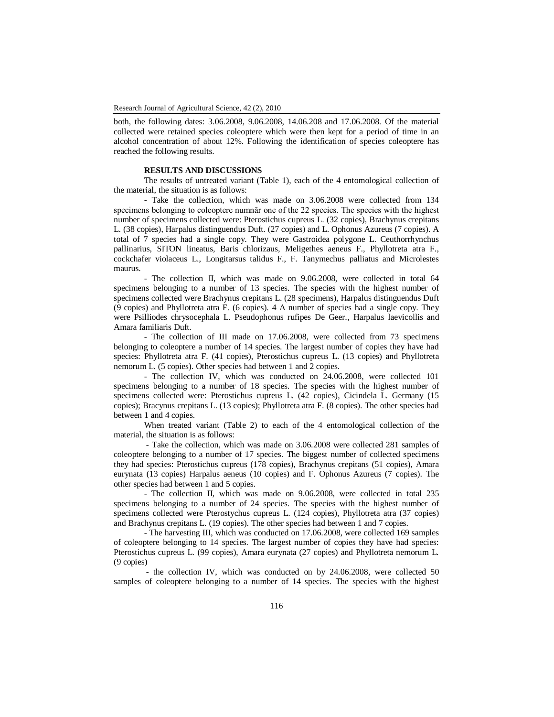both, the following dates: 3.06.2008, 9.06.2008, 14.06.208 and 17.06.2008. Of the material collected were retained species coleoptere which were then kept for a period of time in an alcohol concentration of about 12%. Following the identification of species coleoptere has reached the following results.

## **RESULTS AND DISCUSSIONS**

The results of untreated variant (Table 1), each of the 4 entomological collection of the material, the situation is as follows:

- Take the collection, which was made on 3.06.2008 were collected from 134 specimens belonging to coleoptere numnăr one of the 22 species. The species with the highest number of specimens collected were: Pterostichus cupreus L. (32 copies), Brachynus crepitans L. (38 copies), Harpalus distinguendus Duft. (27 copies) and L. Ophonus Azureus (7 copies). A total of 7 species had a single copy. They were Gastroidea polygone L. Ceuthorrhynchus pallinarius, SITON lineatus, Baris chlorizaus, Meligethes aeneus F., Phyllotreta atra F., cockchafer violaceus L., Longitarsus talidus F., F. Tanymechus palliatus and Microlestes maurus.

- The collection II, which was made on 9.06.2008, were collected in total 64 specimens belonging to a number of 13 species. The species with the highest number of specimens collected were Brachynus crepitans L. (28 specimens), Harpalus distinguendus Duft (9 copies) and Phyllotreta atra F. (6 copies). 4 A number of species had a single copy. They were Psilliodes chrysocephala L. Pseudophonus rufipes De Geer., Harpalus laevicollis and Amara familiaris Duft.

- The collection of III made on 17.06.2008, were collected from 73 specimens belonging to coleoptere a number of 14 species. The largest number of copies they have had species: Phyllotreta atra F. (41 copies), Pterostichus cupreus L. (13 copies) and Phyllotreta nemorum L. (5 copies). Other species had between 1 and 2 copies.

- The collection IV, which was conducted on 24.06.2008, were collected 101 specimens belonging to a number of 18 species. The species with the highest number of specimens collected were: Pterostichus cupreus L. (42 copies), Cicindela L. Germany (15 copies); Bracynus crepitans L. (13 copies); Phyllotreta atra F. (8 copies). The other species had between 1 and 4 copies.

When treated variant (Table 2) to each of the 4 entomological collection of the material, the situation is as follows:

- Take the collection, which was made on 3.06.2008 were collected 281 samples of coleoptere belonging to a number of 17 species. The biggest number of collected specimens they had species: Pterostichus cupreus (178 copies), Brachynus crepitans (51 copies), Amara eurynata (13 copies) Harpalus aeneus (10 copies) and F. Ophonus Azureus (7 copies). The other species had between 1 and 5 copies.

- The collection II, which was made on 9.06.2008, were collected in total 235 specimens belonging to a number of 24 species. The species with the highest number of specimens collected were Pterostychus cupreus L. (124 copies), Phyllotreta atra (37 copies) and Brachynus crepitans L. (19 copies). The other species had between 1 and 7 copies.

- The harvesting III, which was conducted on 17.06.2008, were collected 169 samples of coleoptere belonging to 14 species. The largest number of copies they have had species: Pterostichus cupreus L. (99 copies), Amara eurynata (27 copies) and Phyllotreta nemorum L. (9 copies)

- the collection IV, which was conducted on by 24.06.2008, were collected 50 samples of coleoptere belonging to a number of 14 species. The species with the highest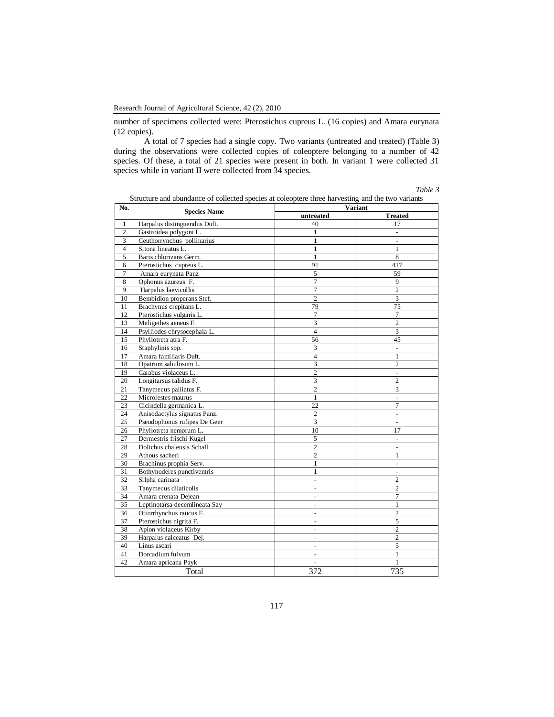number of specimens collected were: Pterostichus cupreus L. (16 copies) and Amara eurynata (12 copies).

A total of 7 species had a single copy. Two variants (untreated and treated) (Table 3) during the observations were collected copies of coleoptere belonging to a number of 42 species. Of these, a total of 21 species were present in both. In variant 1 were collected 31 species while in variant II were collected from 34 species.

*Table 3*

| No.            | <b>Species Name</b>           | <b>Variant</b>           |                              |  |
|----------------|-------------------------------|--------------------------|------------------------------|--|
|                |                               | untreated                | <b>Treated</b>               |  |
| 1              | Harpalus distinguendus Duft.  | 40                       | 17                           |  |
| $\overline{2}$ | Gastroidea polygoni L.        | 1                        |                              |  |
| 3              | Ceuthorrynchus pollinarius    | $\mathbf{1}$             | $\overline{\phantom{a}}$     |  |
| $\overline{4}$ | Sitona lineatus L.            | 1                        | 1                            |  |
| 5              | Baris chlorizans Germ.        | 1                        | $\overline{8}$               |  |
| 6              | Pterostichus cupreus L.       | 91                       | 417                          |  |
| 7              | Amara eurynata Panz           | 5                        | 59                           |  |
| 8              | Ophonus azureus F.            | 7                        | 9                            |  |
| 9              | Harpalus laevicollis          | 7                        | $\overline{2}$               |  |
| 10             | Bembidion properans Stef.     | $\overline{c}$           | $\overline{3}$               |  |
| 11             | Brachynus crepitans L.        | 79                       | 75                           |  |
| 12             | Pterostichus vulgaris L.      | $\overline{7}$           | $\tau$                       |  |
| 13             | Meligethes aeneus F.          | 3                        | $\overline{c}$               |  |
| 14             | Psylliodes chrysocephala L.   | $\overline{4}$           | 3                            |  |
| 15             | Phyllotreta atra F.           | 56                       | 45                           |  |
| 16             | Staphylinis spp.              | 3                        | ÷.                           |  |
| 17             | Amara familiaris Duft.        | $\overline{4}$           | 1                            |  |
| 18             | Opatrum sabulosum L.          | 3                        | $\mathfrak{2}$               |  |
| 19             | Carabus violaceus L.          | $\overline{2}$           | ÷                            |  |
| 20             | Longitarsus talidus F.        | 3                        | $\overline{c}$               |  |
| 21             | Tanymecus palliatus F.        | $\overline{c}$           | 3                            |  |
| 22             | Microlestes maurus            | $\mathbf{1}$             | ÷.                           |  |
| 23             | Cicindella germanica L.       | 22                       | 7                            |  |
| 24             | Anisodactylus signatus Panz.  | $\boldsymbol{2}$         | $\qquad \qquad \blacksquare$ |  |
| 25             | Pseudophonus rufipes De Geer  | 3                        | $\overline{\phantom{a}}$     |  |
| 26             | Phyllotreta nemorum L.        | 10                       | 17                           |  |
| 27             | Dermestris frischi Kugel      | 5                        | $\overline{a}$               |  |
| 28             | Dolichus chalensis Schall     | $\overline{c}$           | ÷,                           |  |
| 29             | Athous sacheri                | $\overline{c}$           | 1                            |  |
| 30             | Brachinus prophia Serv.       | $\mathbf{1}$             | $\overline{a}$               |  |
| 31             | Bothynoderes punctiventris    | $\mathbf{1}$             |                              |  |
| 32             | Silpha carinata               | $\overline{\phantom{a}}$ | $\overline{c}$               |  |
| 33             | Tanymecus dilaticolis         | $\overline{\phantom{a}}$ | $\overline{c}$               |  |
| 34             | Amara crenata Dejean          |                          | 7                            |  |
| 35             | Leptinotarsa decemlineata Say | $\overline{\phantom{a}}$ | 1                            |  |
| 36             | Otiorrhynchus raucus F.       | $\overline{a}$           | 2                            |  |
| 37             | Pterostichus nigrita F.       |                          | 5                            |  |
| 38             | Apion violaceus Kirby         | $\overline{a}$           | $\overline{c}$               |  |
| 39             | Harpalus calceatus Dej.       | $\overline{a}$           | $\overline{c}$               |  |
| 40             | Linus ascari                  |                          | 5                            |  |
| 41             | Dorcadium fulvum              | $\overline{a}$           | 1                            |  |
| 42             | Amara apricana Payk           | $\overline{\phantom{a}}$ | 1                            |  |
|                | Total                         | 372                      | 735                          |  |

|  | Structure and abundance of collected species at coleoptere three harvesting and the two variants |  |  |  |
|--|--------------------------------------------------------------------------------------------------|--|--|--|
|--|--------------------------------------------------------------------------------------------------|--|--|--|